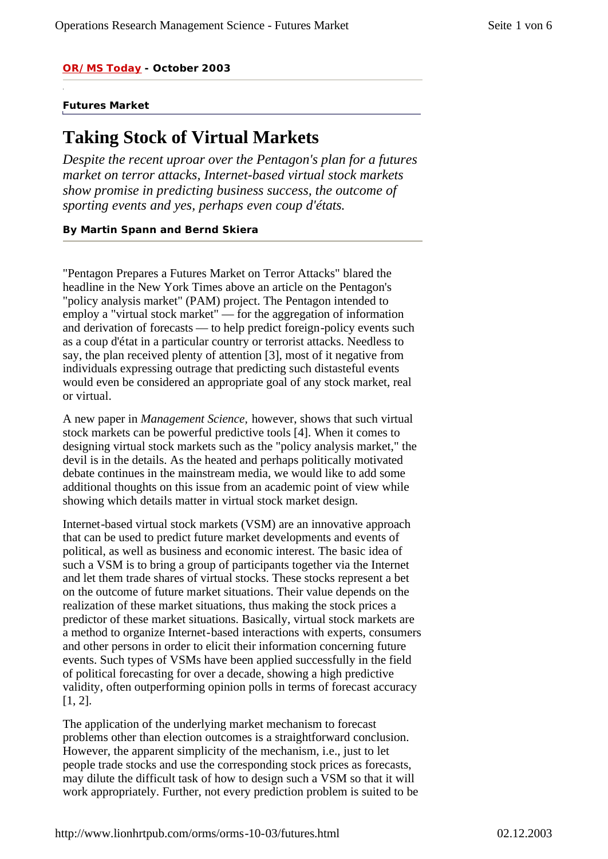*OR/MS Today - October 2003*

#### **Futures Market**

# **Taking Stock of Virtual Markets**

*Despite the recent uproar over the Pentagon's plan for a futures market on terror attacks, Internet-based virtual stock markets show promise in predicting business success, the outcome of sporting events and yes, perhaps even coup d'états.*

#### **By Martin Spann and Bernd Skiera**

"Pentagon Prepares a Futures Market on Terror Attacks" blared the headline in the New York Times above an article on the Pentagon's "policy analysis market" (PAM) project. The Pentagon intended to employ a "virtual stock market" — for the aggregation of information and derivation of forecasts — to help predict foreign-policy events such as a coup d'état in a particular country or terrorist attacks. Needless to say, the plan received plenty of attention [3], most of it negative from individuals expressing outrage that predicting such distasteful events would even be considered an appropriate goal of any stock market, real or virtual.

A new paper in *Management Science,* however, shows that such virtual stock markets can be powerful predictive tools [4]. When it comes to designing virtual stock markets such as the "policy analysis market," the devil is in the details. As the heated and perhaps politically motivated debate continues in the mainstream media, we would like to add some additional thoughts on this issue from an academic point of view while showing which details matter in virtual stock market design.

Internet-based virtual stock markets (VSM) are an innovative approach that can be used to predict future market developments and events of political, as well as business and economic interest. The basic idea of such a VSM is to bring a group of participants together via the Internet and let them trade shares of virtual stocks. These stocks represent a bet on the outcome of future market situations. Their value depends on the realization of these market situations, thus making the stock prices a predictor of these market situations. Basically, virtual stock markets are a method to organize Internet-based interactions with experts, consumers and other persons in order to elicit their information concerning future events. Such types of VSMs have been applied successfully in the field of political forecasting for over a decade, showing a high predictive validity, often outperforming opinion polls in terms of forecast accuracy [1, 2].

The application of the underlying market mechanism to forecast problems other than election outcomes is a straightforward conclusion. However, the apparent simplicity of the mechanism, i.e., just to let people trade stocks and use the corresponding stock prices as forecasts, may dilute the difficult task of how to design such a VSM so that it will work appropriately. Further, not every prediction problem is suited to be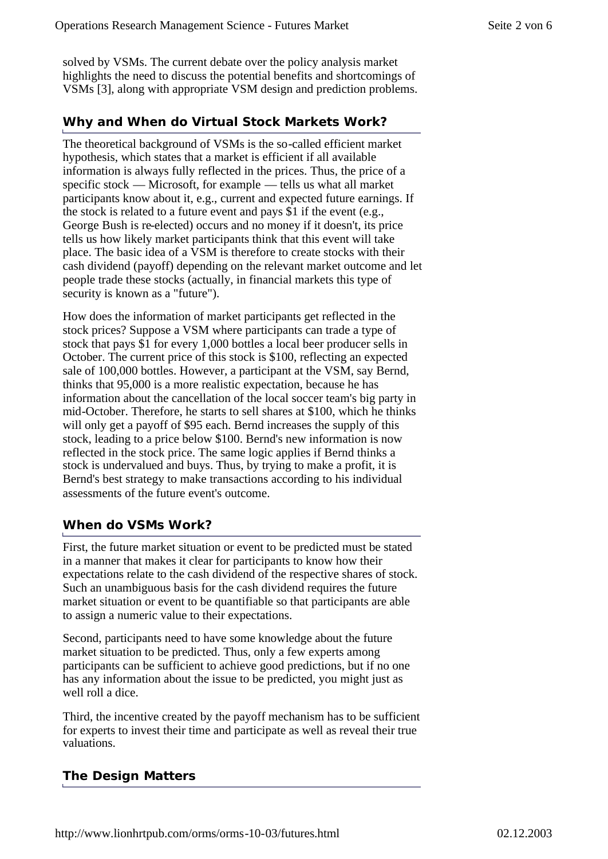solved by VSMs. The current debate over the policy analysis market highlights the need to discuss the potential benefits and shortcomings of VSMs [3], along with appropriate VSM design and prediction problems.

## **Why and When do Virtual Stock Markets Work?**

The theoretical background of VSMs is the so-called efficient market hypothesis, which states that a market is efficient if all available information is always fully reflected in the prices. Thus, the price of a specific stock — Microsoft, for example — tells us what all market participants know about it, e.g., current and expected future earnings. If the stock is related to a future event and pays \$1 if the event (e.g., George Bush is re-elected) occurs and no money if it doesn't, its price tells us how likely market participants think that this event will take place. The basic idea of a VSM is therefore to create stocks with their cash dividend (payoff) depending on the relevant market outcome and let people trade these stocks (actually, in financial markets this type of security is known as a "future").

How does the information of market participants get reflected in the stock prices? Suppose a VSM where participants can trade a type of stock that pays \$1 for every 1,000 bottles a local beer producer sells in October. The current price of this stock is \$100, reflecting an expected sale of 100,000 bottles. However, a participant at the VSM, say Bernd, thinks that 95,000 is a more realistic expectation, because he has information about the cancellation of the local soccer team's big party in mid-October. Therefore, he starts to sell shares at \$100, which he thinks will only get a payoff of \$95 each. Bernd increases the supply of this stock, leading to a price below \$100. Bernd's new information is now reflected in the stock price. The same logic applies if Bernd thinks a stock is undervalued and buys. Thus, by trying to make a profit, it is Bernd's best strategy to make transactions according to his individual assessments of the future event's outcome.

## **When do VSMs Work?**

First, the future market situation or event to be predicted must be stated in a manner that makes it clear for participants to know how their expectations relate to the cash dividend of the respective shares of stock. Such an unambiguous basis for the cash dividend requires the future market situation or event to be quantifiable so that participants are able to assign a numeric value to their expectations.

Second, participants need to have some knowledge about the future market situation to be predicted. Thus, only a few experts among participants can be sufficient to achieve good predictions, but if no one has any information about the issue to be predicted, you might just as well roll a dice.

Third, the incentive created by the payoff mechanism has to be sufficient for experts to invest their time and participate as well as reveal their true valuations.

# **The Design Matters**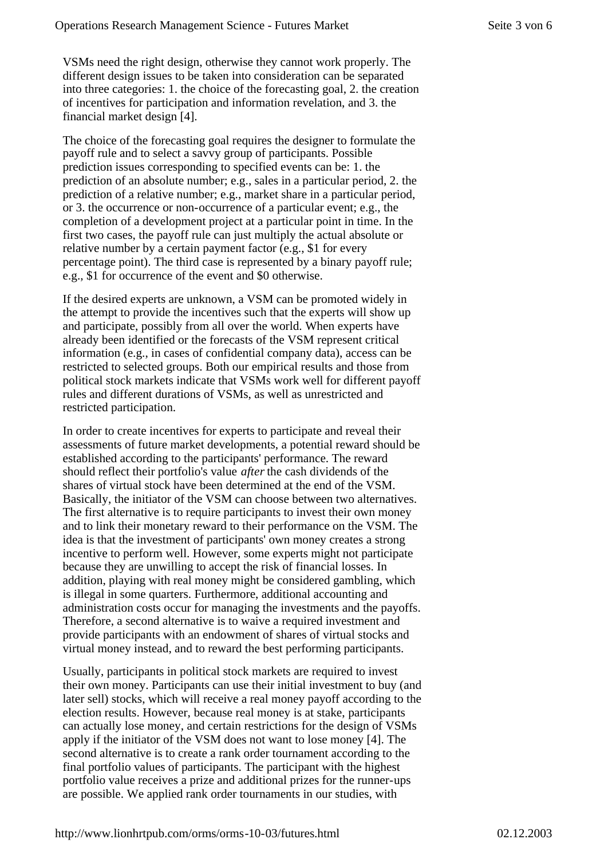VSMs need the right design, otherwise they cannot work properly. The different design issues to be taken into consideration can be separated into three categories: 1. the choice of the forecasting goal, 2. the creation of incentives for participation and information revelation, and 3. the financial market design [4].

The choice of the forecasting goal requires the designer to formulate the payoff rule and to select a savvy group of participants. Possible prediction issues corresponding to specified events can be: 1. the prediction of an absolute number; e.g., sales in a particular period, 2. the prediction of a relative number; e.g., market share in a particular period, or 3. the occurrence or non-occurrence of a particular event; e.g., the completion of a development project at a particular point in time. In the first two cases, the payoff rule can just multiply the actual absolute or relative number by a certain payment factor (e.g., \$1 for every percentage point). The third case is represented by a binary payoff rule; e.g., \$1 for occurrence of the event and \$0 otherwise.

If the desired experts are unknown, a VSM can be promoted widely in the attempt to provide the incentives such that the experts will show up and participate, possibly from all over the world. When experts have already been identified or the forecasts of the VSM represent critical information (e.g., in cases of confidential company data), access can be restricted to selected groups. Both our empirical results and those from political stock markets indicate that VSMs work well for different payoff rules and different durations of VSMs, as well as unrestricted and restricted participation.

In order to create incentives for experts to participate and reveal their assessments of future market developments, a potential reward should be established according to the participants' performance. The reward should reflect their portfolio's value *after* the cash dividends of the shares of virtual stock have been determined at the end of the VSM. Basically, the initiator of the VSM can choose between two alternatives. The first alternative is to require participants to invest their own money and to link their monetary reward to their performance on the VSM. The idea is that the investment of participants' own money creates a strong incentive to perform well. However, some experts might not participate because they are unwilling to accept the risk of financial losses. In addition, playing with real money might be considered gambling, which is illegal in some quarters. Furthermore, additional accounting and administration costs occur for managing the investments and the payoffs. Therefore, a second alternative is to waive a required investment and provide participants with an endowment of shares of virtual stocks and virtual money instead, and to reward the best performing participants.

Usually, participants in political stock markets are required to invest their own money. Participants can use their initial investment to buy (and later sell) stocks, which will receive a real money payoff according to the election results. However, because real money is at stake, participants can actually lose money, and certain restrictions for the design of VSMs apply if the initiator of the VSM does not want to lose money [4]. The second alternative is to create a rank order tournament according to the final portfolio values of participants. The participant with the highest portfolio value receives a prize and additional prizes for the runner-ups are possible. We applied rank order tournaments in our studies, with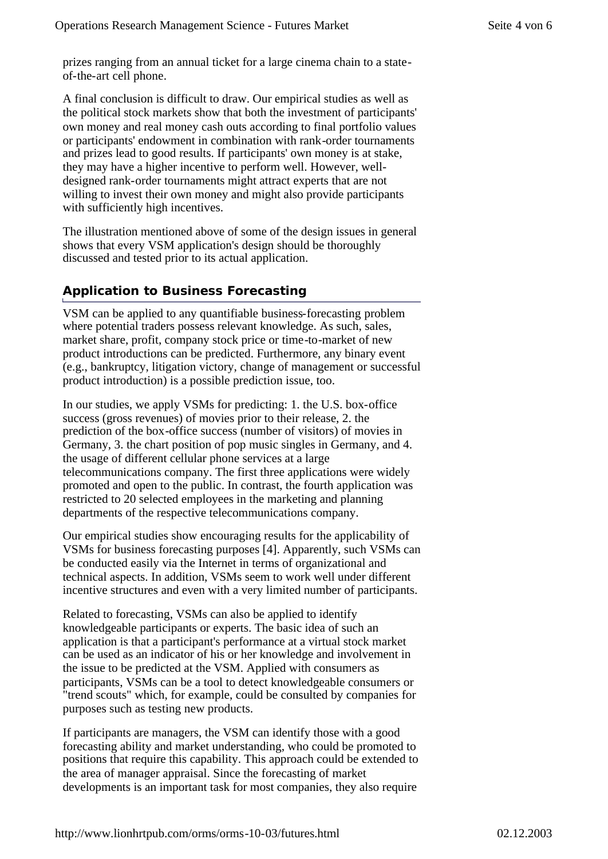prizes ranging from an annual ticket for a large cinema chain to a stateof-the-art cell phone.

A final conclusion is difficult to draw. Our empirical studies as well as the political stock markets show that both the investment of participants' own money and real money cash outs according to final portfolio values or participants' endowment in combination with rank-order tournaments and prizes lead to good results. If participants' own money is at stake, they may have a higher incentive to perform well. However, welldesigned rank-order tournaments might attract experts that are not willing to invest their own money and might also provide participants with sufficiently high incentives.

The illustration mentioned above of some of the design issues in general shows that every VSM application's design should be thoroughly discussed and tested prior to its actual application.

# **Application to Business Forecasting**

VSM can be applied to any quantifiable business-forecasting problem where potential traders possess relevant knowledge. As such, sales, market share, profit, company stock price or time-to-market of new product introductions can be predicted. Furthermore, any binary event (e.g., bankruptcy, litigation victory, change of management or successful product introduction) is a possible prediction issue, too.

In our studies, we apply VSMs for predicting: 1. the U.S. box-office success (gross revenues) of movies prior to their release, 2. the prediction of the box-office success (number of visitors) of movies in Germany, 3. the chart position of pop music singles in Germany, and 4. the usage of different cellular phone services at a large telecommunications company. The first three applications were widely promoted and open to the public. In contrast, the fourth application was restricted to 20 selected employees in the marketing and planning departments of the respective telecommunications company.

Our empirical studies show encouraging results for the applicability of VSMs for business forecasting purposes [4]. Apparently, such VSMs can be conducted easily via the Internet in terms of organizational and technical aspects. In addition, VSMs seem to work well under different incentive structures and even with a very limited number of participants.

Related to forecasting, VSMs can also be applied to identify knowledgeable participants or experts. The basic idea of such an application is that a participant's performance at a virtual stock market can be used as an indicator of his or her knowledge and involvement in the issue to be predicted at the VSM. Applied with consumers as participants, VSMs can be a tool to detect knowledgeable consumers or "trend scouts" which, for example, could be consulted by companies for purposes such as testing new products.

If participants are managers, the VSM can identify those with a good forecasting ability and market understanding, who could be promoted to positions that require this capability. This approach could be extended to the area of manager appraisal. Since the forecasting of market developments is an important task for most companies, they also require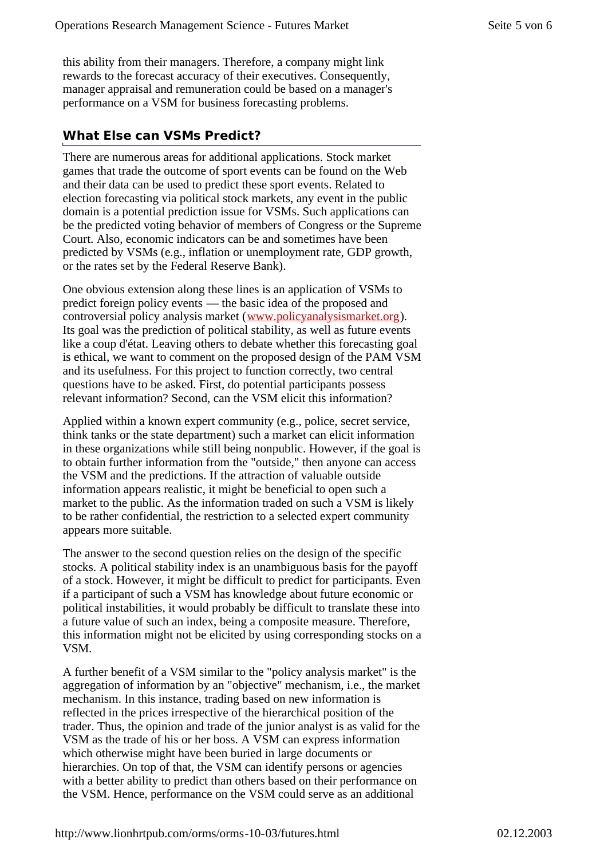this ability from their managers. Therefore, a company might link rewards to the forecast accuracy of their executives. Consequently, manager appraisal and remuneration could be based on a manager's performance on a VSM for business forecasting problems.

# **What Else can VSMs Predict?**

There are numerous areas for additional applications. Stock market games that trade the outcome of sport events can be found on the Web and their data can be used to predict these sport events. Related to election forecasting via political stock markets, any event in the public domain is a potential prediction issue for VSMs. Such applications can be the predicted voting behavior of members of Congress or the Supreme Court. Also, economic indicators can be and sometimes have been predicted by VSMs (e.g., inflation or unemployment rate, GDP growth, or the rates set by the Federal Reserve Bank).

One obvious extension along these lines is an application of VSMs to predict foreign policy events — the basic idea of the proposed and controversial policy analysis market (www.policyanalysismarket.org). Its goal was the prediction of political stability, as well as future events like a coup d'état. Leaving others to debate whether this forecasting goal is ethical, we want to comment on the proposed design of the PAM VSM and its usefulness. For this project to function correctly, two central questions have to be asked. First, do potential participants possess relevant information? Second, can the VSM elicit this information?

Applied within a known expert community (e.g., police, secret service, think tanks or the state department) such a market can elicit information in these organizations while still being nonpublic. However, if the goal is to obtain further information from the "outside," then anyone can access the VSM and the predictions. If the attraction of valuable outside information appears realistic, it might be beneficial to open such a market to the public. As the information traded on such a VSM is likely to be rather confidential, the restriction to a selected expert community appears more suitable.

The answer to the second question relies on the design of the specific stocks. A political stability index is an unambiguous basis for the payoff of a stock. However, it might be difficult to predict for participants. Even if a participant of such a VSM has knowledge about future economic or political instabilities, it would probably be difficult to translate these into a future value of such an index, being a composite measure. Therefore, this information might not be elicited by using corresponding stocks on a VSM.

A further benefit of a VSM similar to the "policy analysis market" is the aggregation of information by an "objective" mechanism, i.e., the market mechanism. In this instance, trading based on new information is reflected in the prices irrespective of the hierarchical position of the trader. Thus, the opinion and trade of the junior analyst is as valid for the VSM as the trade of his or her boss. A VSM can express information which otherwise might have been buried in large documents or hierarchies. On top of that, the VSM can identify persons or agencies with a better ability to predict than others based on their performance on the VSM. Hence, performance on the VSM could serve as an additional